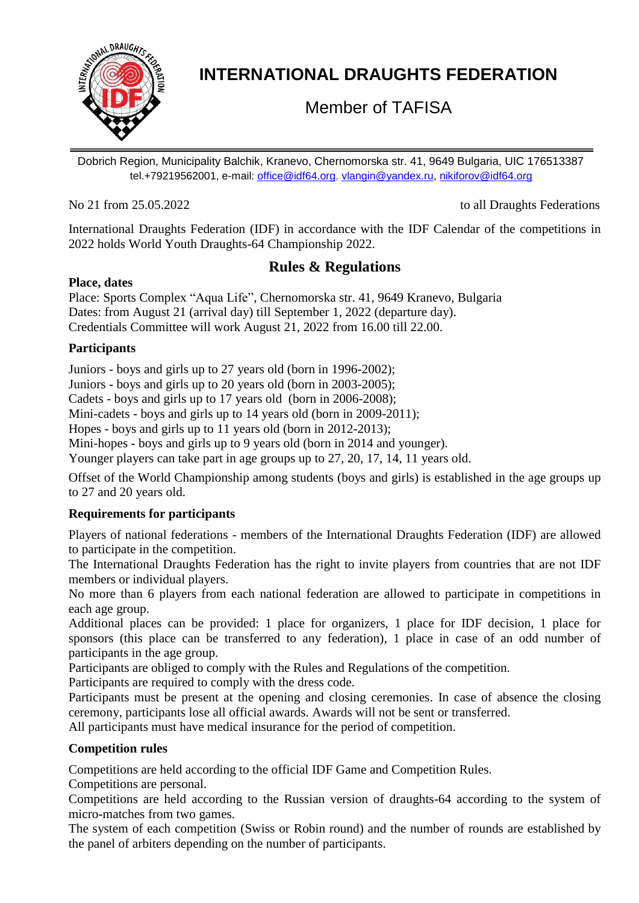

# **INTERNATIONAL DRAUGHTS FEDERATION**

Member of TAFISA

Dobrich Region, Municipality Balchik, Kranevo, Chernomorska str. 41, 9649 Bulgaria, UIC 176513387 tel.+79219562001, e-mail: [office@idf64.org,](mailto:office@idf64.org) [vlangin@yandex.ru,](mailto:vlangin@yandex.ru) [nikiforov@idf64.org](mailto:nikiforov@idf64.org)

No 21 from 25.05.2022 to all Draughts Federations

International Draughts Federation (IDF) in accordance with the IDF Calendar of the competitions in 2022 holds World Youth Draughts-64 Championship 2022.

# **Rules & Regulations**

## **Place, dates**

Place: Sports Complex "Aqua Life", Chernomorska str. 41, 9649 Kranevo, Bulgaria Dates: from August 21 (arrival day) till September 1, 2022 (departure day). Credentials Committee will work August 21, 2022 from 16.00 till 22.00.

## **Participants**

Juniors - boys and girls up to 27 years old (born in 1996-2002);

Juniors - boys and girls up to 20 years old (born in 2003-2005);

Cadets - boys and girls up to 17 years old (born in 2006-2008);

Mini-cadets - boys and girls up to 14 years old (born in 2009-2011);

Hopes - boys and girls up to 11 years old (born in 2012-2013);

Mini-hopes - boys and girls up to 9 years old (born in 2014 and younger).

Younger players can take part in age groups up to 27, 20, 17, 14, 11 years old.

Offset of the World Championship among students (boys and girls) is established in the age groups up to 27 and 20 years old.

# **Requirements for participants**

Players of national federations - members of the International Draughts Federation (IDF) are allowed to participate in the competition.

The International Draughts Federation has the right to invite players from countries that are not IDF members or individual players.

No more than 6 players from each national federation are allowed to participate in competitions in each age group.

Additional places can be provided: 1 place for organizers, 1 place for IDF decision, 1 place for sponsors (this place can be transferred to any federation), 1 place in case of an odd number of participants in the age group.

Participants are obliged to comply with the Rules and Regulations of the competition.

Participants are required to comply with the dress code.

Participants must be present at the opening and closing ceremonies. In case of absence the closing ceremony, participants lose all official awards. Awards will not be sent or transferred.

All participants must have medical insurance for the period of competition.

# **Competition rules**

Competitions are held according to the official IDF Game and Competition Rules.

Competitions are personal.

Competitions are held according to the Russian version of draughts-64 according to the system of micro-matches from two games.

The system of each competition (Swiss or Robin round) and the number of rounds are established by the panel of arbiters depending on the number of participants.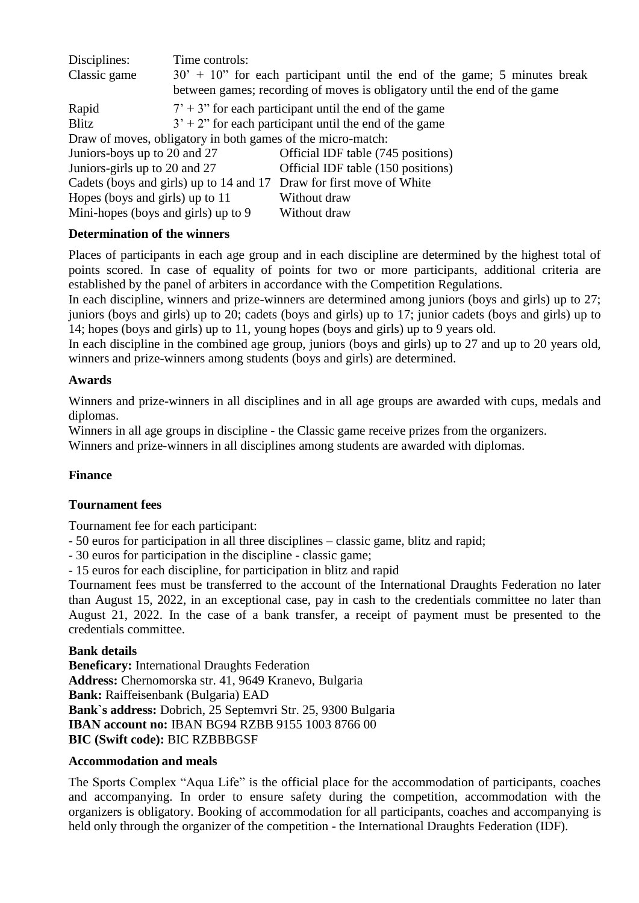| Disciplines:                                                         | Time controls:                                            |                                                                              |
|----------------------------------------------------------------------|-----------------------------------------------------------|------------------------------------------------------------------------------|
| Classic game                                                         |                                                           | $30' + 10''$ for each participant until the end of the game; 5 minutes break |
|                                                                      |                                                           | between games; recording of moves is obligatory until the end of the game    |
| Rapid                                                                | $7' + 3''$ for each participant until the end of the game |                                                                              |
| Blitz                                                                | $3' + 2''$ for each participant until the end of the game |                                                                              |
| Draw of moves, obligatory in both games of the micro-match:          |                                                           |                                                                              |
| Juniors-boys up to 20 and 27                                         |                                                           | Official IDF table (745 positions)                                           |
| Juniors-girls up to 20 and 27                                        |                                                           | Official IDF table (150 positions)                                           |
| Cadets (boys and girls) up to 14 and 17 Draw for first move of White |                                                           |                                                                              |
| Hopes (boys and girls) up to 11                                      |                                                           | Without draw                                                                 |
| Mini-hopes (boys and girls) up to 9                                  |                                                           | Without draw                                                                 |

#### **Determination of the winners**

Places of participants in each age group and in each discipline are determined by the highest total of points scored. In case of equality of points for two or more participants, additional criteria are established by the panel of arbiters in accordance with the Competition Regulations.

In each discipline, winners and prize-winners are determined among juniors (boys and girls) up to 27; juniors (boys and girls) up to 20; cadets (boys and girls) up to 17; junior cadets (boys and girls) up to 14; hopes (boys and girls) up to 11, young hopes (boys and girls) up to 9 years old.

In each discipline in the combined age group, juniors (boys and girls) up to 27 and up to 20 years old, winners and prize-winners among students (boys and girls) are determined.

#### **Awards**

Winners and prize-winners in all disciplines and in all age groups are awarded with cups, medals and diplomas.

Winners in all age groups in discipline - the Classic game receive prizes from the organizers.

Winners and prize-winners in all disciplines among students are awarded with diplomas.

#### **Finance**

#### **Tournament fees**

Tournament fee for each participant:

- 50 euros for participation in all three disciplines – classic game, blitz and rapid;

- 30 euros for participation in the discipline - classic game;

- 15 euros for each discipline, for participation in blitz and rapid

Tournament fees must be transferred to the account of the International Draughts Federation no later than August 15, 2022, in an exceptional case, pay in cash to the credentials committee no later than August 21, 2022. In the case of a bank transfer, a receipt of payment must be presented to the credentials committee.

#### **Bank details**

**Beneficary:** International Draughts Federation **Address:** Chernomorska str. 41, 9649 Kranevo, Bulgaria **Bank:** Raiffeisenbank (Bulgaria) EAD **Bank`s address:** Dobrich, 25 Septemvri Str. 25, 9300 Bulgaria **IBAN account no:** IBAN BG94 RZBB 9155 1003 8766 00 **BIC (Swift code):** BIC RZBBBGSF

#### **Accommodation and meals**

The Sports Complex "Aqua Life" is the official place for the accommodation of participants, coaches and accompanying. In order to ensure safety during the competition, accommodation with the organizers is obligatory. Booking of accommodation for all participants, coaches and accompanying is held only through the organizer of the competition - the International Draughts Federation (IDF).